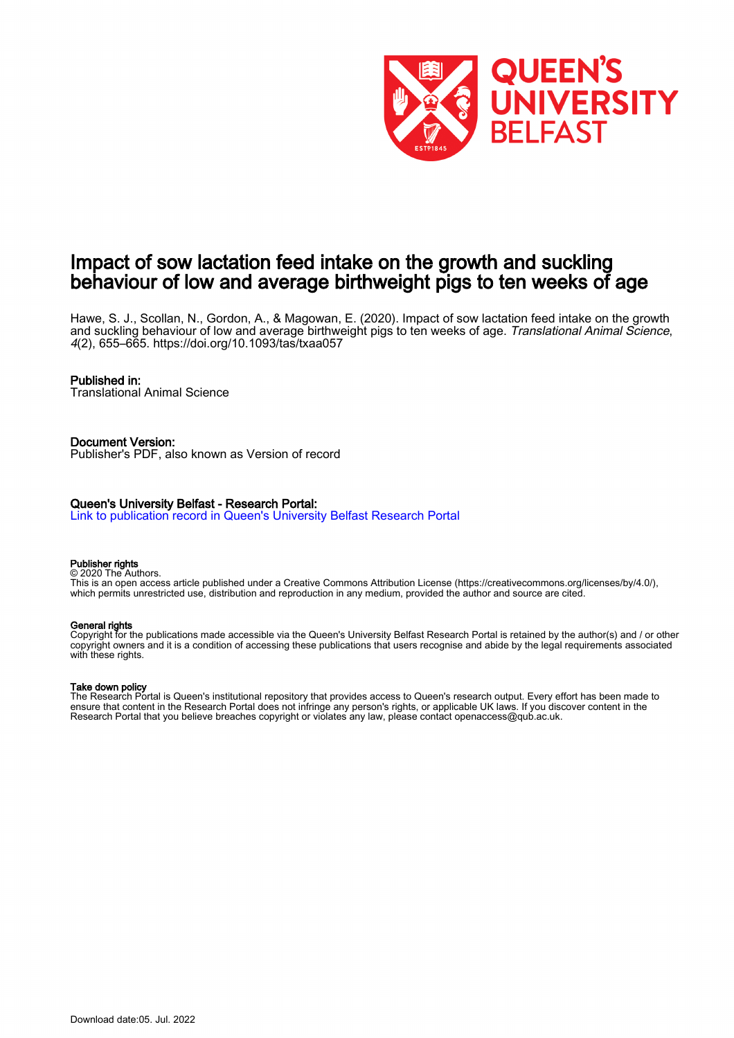

# Impact of sow lactation feed intake on the growth and suckling behaviour of low and average birthweight pigs to ten weeks of age

Hawe, S. J., Scollan, N., Gordon, A., & Magowan, E. (2020). Impact of sow lactation feed intake on the growth and suckling behaviour of low and average birthweight pigs to ten weeks of age. Translational Animal Science, 4(2), 655–665.<https://doi.org/10.1093/tas/txaa057>

### Published in:

Translational Animal Science

# Document Version:

Publisher's PDF, also known as Version of record

### Queen's University Belfast - Research Portal:

[Link to publication record in Queen's University Belfast Research Portal](https://pure.qub.ac.uk/en/publications/f79f18a9-12bb-41c7-88ba-bc0cab530cf1)

#### Publisher rights

© 2020 The Authors. This is an open access article published under a Creative Commons Attribution License (https://creativecommons.org/licenses/by/4.0/), which permits unrestricted use, distribution and reproduction in any medium, provided the author and source are cited.

#### General rights

Copyright for the publications made accessible via the Queen's University Belfast Research Portal is retained by the author(s) and / or other copyright owners and it is a condition of accessing these publications that users recognise and abide by the legal requirements associated with these rights.

#### Take down policy

The Research Portal is Queen's institutional repository that provides access to Queen's research output. Every effort has been made to ensure that content in the Research Portal does not infringe any person's rights, or applicable UK laws. If you discover content in the Research Portal that you believe breaches copyright or violates any law, please contact openaccess@qub.ac.uk.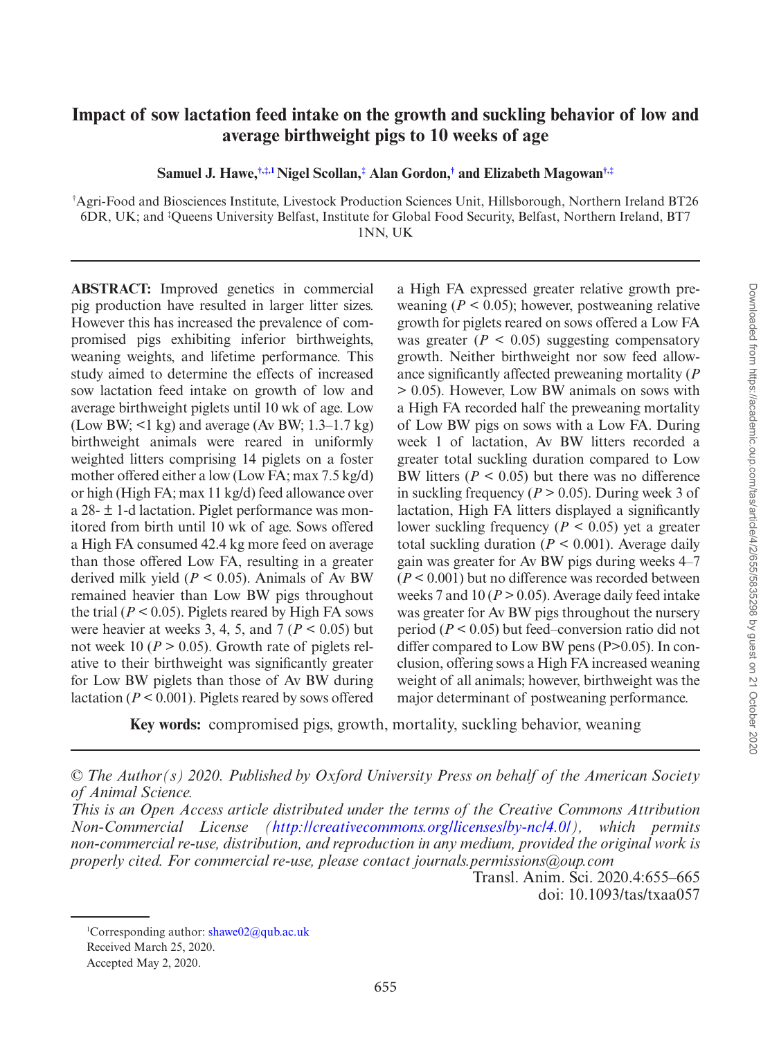# **Impact of sow lactation feed intake on the growth and suckling behavior of low and average birthweight pigs to 10 weeks of age**

<span id="page-1-1"></span>**Samuel J. Hawe,[†](#page-1-0)[,‡](#page-1-0)[,1](#page-1-1)Nigel Scollan,[‡](#page-1-1) Alan Gordon,[†](#page-1-0) and Elizabeth Magowan[†](#page-1-0),[‡](#page-1-0)**

<span id="page-1-0"></span>† Agri-Food and Biosciences Institute, Livestock Production Sciences Unit, Hillsborough, Northern Ireland BT26 6DR, UK; and ‡ Queens University Belfast, Institute for Global Food Security, Belfast, Northern Ireland, BT7 1NN, UK

**ABSTRACT:**  Improved genetics in commercial pig production have resulted in larger litter sizes. However this has increased the prevalence of compromised pigs exhibiting inferior birthweights, weaning weights, and lifetime performance. This study aimed to determine the effects of increased sow lactation feed intake on growth of low and average birthweight piglets until 10 wk of age. Low (Low BW;  $\leq 1$  kg) and average (Av BW; 1.3–1.7 kg) birthweight animals were reared in uniformly weighted litters comprising 14 piglets on a foster mother offered either a low (Low FA; max 7.5 kg/d) or high (High FA; max 11 kg/d) feed allowance over a 28- ± 1-d lactation. Piglet performance was monitored from birth until 10 wk of age. Sows offered a High FA consumed 42.4 kg more feed on average than those offered Low FA, resulting in a greater derived milk yield  $(P < 0.05)$ . Animals of Av BW remained heavier than Low BW pigs throughout the trial ( $P < 0.05$ ). Piglets reared by High FA sows were heavier at weeks 3, 4, 5, and  $7 (P \le 0.05)$  but not week 10 ( $P > 0.05$ ). Growth rate of piglets relative to their birthweight was significantly greater for Low BW piglets than those of Av BW during lactation ( $P \le 0.001$ ). Piglets reared by sows offered a High FA expressed greater relative growth preweaning  $(P < 0.05)$ ; however, postweaning relative growth for piglets reared on sows offered a Low FA was greater  $(P < 0.05)$  suggesting compensatory growth. Neither birthweight nor sow feed allowance significantly affected preweaning mortality (*P* > 0.05). However, Low BW animals on sows with a High FA recorded half the preweaning mortality of Low BW pigs on sows with a Low FA. During week 1 of lactation, Av BW litters recorded a greater total suckling duration compared to Low BW litters ( $P < 0.05$ ) but there was no difference in suckling frequency ( $P > 0.05$ ). During week 3 of lactation, High FA litters displayed a significantly lower suckling frequency ( $P < 0.05$ ) yet a greater total suckling duration ( $P \le 0.001$ ). Average daily gain was greater for Av BW pigs during weeks 4–7  $(P < 0.001)$  but no difference was recorded between weeks 7 and 10 ( $P > 0.05$ ). Average daily feed intake was greater for Av BW pigs throughout the nursery period (*P* < 0.05) but feed–conversion ratio did not differ compared to Low BW pens (P>0.05). In conclusion, offering sows a High FA increased weaning weight of all animals; however, birthweight was the major determinant of postweaning performance.

**Key words:** compromised pigs, growth, mortality, suckling behavior, weaning

Transl. Anim. Sci. 2020.4:655–665 doi: 10.1093/tas/txaa057

<sup>1</sup>Corresponding author: [shawe02@qub.ac.uk](mailto:shawe02@qub.ac.uk?subject=) Received March 25, 2020.

Accepted May 2, 2020.

*<sup>©</sup> The Author(s) 2020. Published by Oxford University Press on behalf of the American Society of Animal Science.*

*This is an Open Access article distributed under the terms of the Creative Commons Attribution Non-Commercial License (<http://creativecommons.org/licenses/by-nc/4.0/>), which permits non-commercial re-use, distribution, and reproduction in any medium, provided the original work is properly cited. For commercial re-use, please contact journals.permissions@oup.com*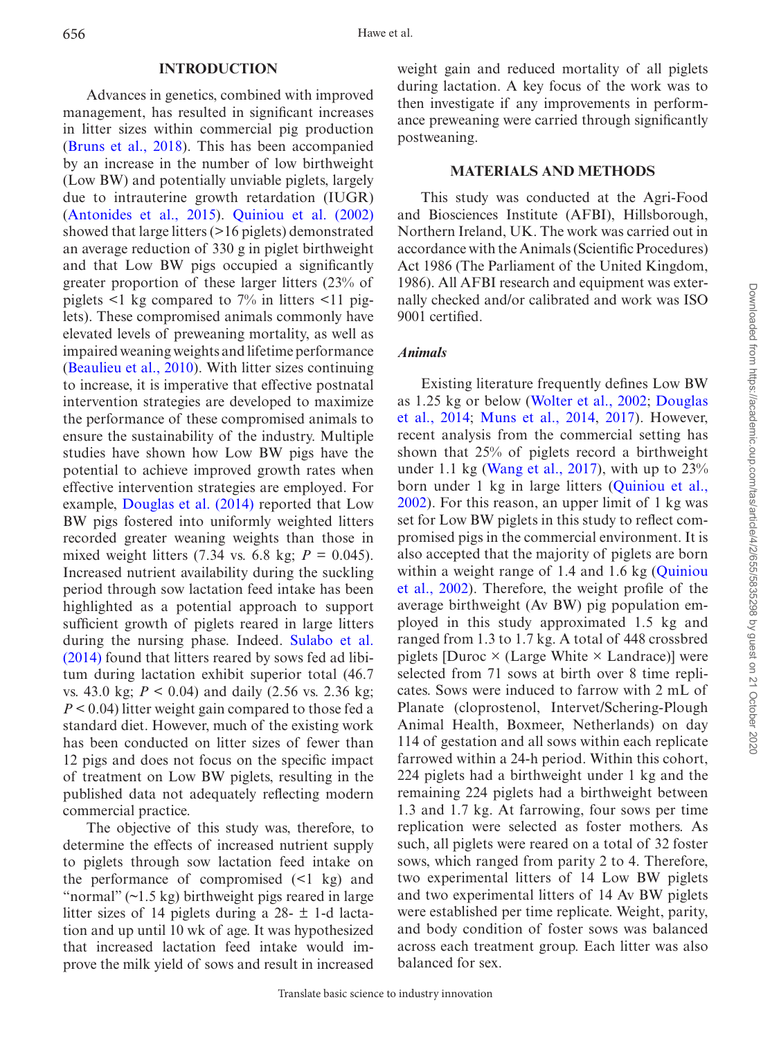#### **INTRODUCTION**

Advances in genetics, combined with improved management, has resulted in significant increases in litter sizes within commercial pig production ([Bruns et al., 2018](#page-10-0)). This has been accompanied by an increase in the number of low birthweight (Low BW) and potentially unviable piglets, largely due to intrauterine growth retardation (IUGR) ([Antonides et al., 2015\)](#page-10-1). [Quiniou et al. \(2002\)](#page-11-0) showed that large litters (>16 piglets) demonstrated an average reduction of 330 g in piglet birthweight and that Low BW pigs occupied a significantly greater proportion of these larger litters (23% of piglets  $\leq 1$  kg compared to 7% in litters  $\leq 11$  piglets). These compromised animals commonly have elevated levels of preweaning mortality, as well as impaired weaning weights and lifetime performance ([Beaulieu et al., 2010\)](#page-10-2). With litter sizes continuing to increase, it is imperative that effective postnatal intervention strategies are developed to maximize the performance of these compromised animals to ensure the sustainability of the industry. Multiple studies have shown how Low BW pigs have the potential to achieve improved growth rates when effective intervention strategies are employed. For example, [Douglas et al. \(2014\)](#page-10-3) reported that Low BW pigs fostered into uniformly weighted litters recorded greater weaning weights than those in mixed weight litters  $(7.34 \text{ vs. } 6.8 \text{ kg}; P = 0.045)$ . Increased nutrient availability during the suckling period through sow lactation feed intake has been highlighted as a potential approach to support sufficient growth of piglets reared in large litters during the nursing phase. Indeed. [Sulabo et al.](#page-11-1) [\(2014\)](#page-11-1) found that litters reared by sows fed ad libitum during lactation exhibit superior total (46.7 vs. 43.0 kg; *P* < 0.04) and daily (2.56 vs. 2.36 kg; *P* < 0.04) litter weight gain compared to those fed a standard diet. However, much of the existing work has been conducted on litter sizes of fewer than 12 pigs and does not focus on the specific impact of treatment on Low BW piglets, resulting in the published data not adequately reflecting modern commercial practice.

The objective of this study was, therefore, to determine the effects of increased nutrient supply to piglets through sow lactation feed intake on the performance of compromised (<1 kg) and "normal" (~1.5 kg) birthweight pigs reared in large litter sizes of 14 piglets during a  $28 - \pm 1$ -d lactation and up until 10 wk of age. It was hypothesized that increased lactation feed intake would improve the milk yield of sows and result in increased weight gain and reduced mortality of all piglets during lactation. A key focus of the work was to then investigate if any improvements in performance preweaning were carried through significantly postweaning.

### **MATERIALS AND METHODS**

This study was conducted at the Agri-Food and Biosciences Institute (AFBI), Hillsborough, Northern Ireland, UK. The work was carried out in accordance with the Animals (Scientific Procedures) Act 1986 (The Parliament of the United Kingdom, 1986). All AFBI research and equipment was externally checked and/or calibrated and work was ISO 9001 certified.

### *Animals*

Existing literature frequently defines Low BW as 1.25 kg or below ([Wolter et al., 2002](#page-11-2); [Douglas](#page-10-3)  [et al., 2014](#page-10-3); [Muns et al., 2014,](#page-11-3) [2017](#page-11-4)). However, recent analysis from the commercial setting has shown that 25% of piglets record a birthweight under 1.1 kg [\(Wang et al., 2017](#page-11-5)), with up to  $23\%$ born under 1 kg in large litters (Quiniou et al., [2002](#page-11-0)). For this reason, an upper limit of 1 kg was set for Low BW piglets in this study to reflect compromised pigs in the commercial environment. It is also accepted that the majority of piglets are born within a weight range of 1.4 and 1.6 kg ([Quiniou](#page-11-0) [et al., 2002](#page-11-0)). Therefore, the weight profile of the average birthweight (Av BW) pig population employed in this study approximated 1.5 kg and ranged from 1.3 to 1.7 kg. A total of 448 crossbred piglets [Duroc  $\times$  (Large White  $\times$  Landrace)] were selected from 71 sows at birth over 8 time replicates. Sows were induced to farrow with 2 mL of Planate (cloprostenol, Intervet/Schering-Plough Animal Health, Boxmeer, Netherlands) on day 114 of gestation and all sows within each replicate farrowed within a 24-h period. Within this cohort, 224 piglets had a birthweight under 1 kg and the remaining 224 piglets had a birthweight between 1.3 and 1.7 kg. At farrowing, four sows per time replication were selected as foster mothers. As such, all piglets were reared on a total of 32 foster sows, which ranged from parity 2 to 4. Therefore, two experimental litters of 14 Low BW piglets and two experimental litters of 14 Av BW piglets were established per time replicate. Weight, parity, and body condition of foster sows was balanced across each treatment group. Each litter was also balanced for sex.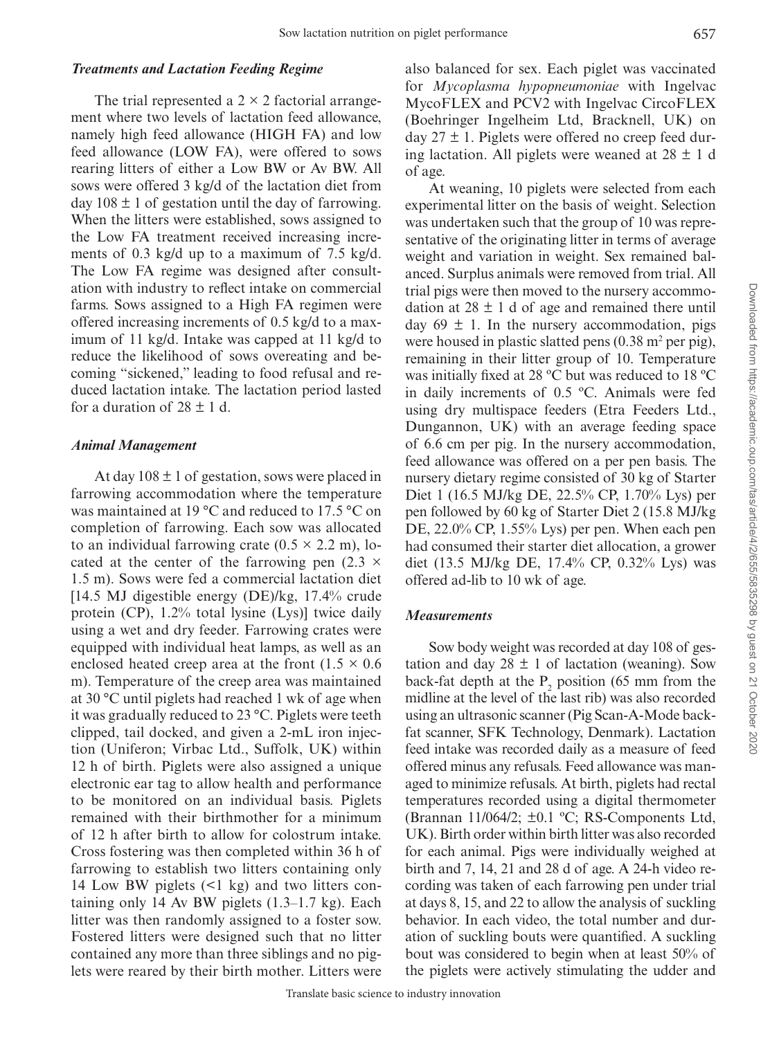### *Treatments and Lactation Feeding Regime*

The trial represented a  $2 \times 2$  factorial arrangement where two levels of lactation feed allowance, namely high feed allowance (HIGH FA) and low feed allowance (LOW FA), were offered to sows rearing litters of either a Low BW or Av BW. All sows were offered 3 kg/d of the lactation diet from day  $108 \pm 1$  of gestation until the day of farrowing. When the litters were established, sows assigned to the Low FA treatment received increasing increments of 0.3 kg/d up to a maximum of 7.5 kg/d. The Low FA regime was designed after consultation with industry to reflect intake on commercial farms. Sows assigned to a High FA regimen were offered increasing increments of 0.5 kg/d to a maximum of 11 kg/d. Intake was capped at 11 kg/d to reduce the likelihood of sows overeating and becoming "sickened," leading to food refusal and reduced lactation intake. The lactation period lasted for a duration of  $28 \pm 1$  d.

#### *Animal Management*

At day  $108 \pm 1$  of gestation, sows were placed in farrowing accommodation where the temperature was maintained at 19 °C and reduced to 17.5 °C on completion of farrowing. Each sow was allocated to an individual farrowing crate  $(0.5 \times 2.2 \text{ m})$ , located at the center of the farrowing pen  $(2.3 \times$ 1.5 m). Sows were fed a commercial lactation diet [14.5 MJ digestible energy (DE)/kg, 17.4% crude protein (CP), 1.2% total lysine (Lys)] twice daily using a wet and dry feeder. Farrowing crates were equipped with individual heat lamps, as well as an enclosed heated creep area at the front  $(1.5 \times 0.6)$ m). Temperature of the creep area was maintained at 30 °C until piglets had reached 1 wk of age when it was gradually reduced to 23 °C. Piglets were teeth clipped, tail docked, and given a 2-mL iron injection (Uniferon; Virbac Ltd., Suffolk, UK) within 12 h of birth. Piglets were also assigned a unique electronic ear tag to allow health and performance to be monitored on an individual basis. Piglets remained with their birthmother for a minimum of 12 h after birth to allow for colostrum intake. Cross fostering was then completed within 36 h of farrowing to establish two litters containing only 14 Low BW piglets (<1 kg) and two litters containing only 14 Av BW piglets (1.3–1.7 kg). Each litter was then randomly assigned to a foster sow. Fostered litters were designed such that no litter contained any more than three siblings and no piglets were reared by their birth mother. Litters were also balanced for sex. Each piglet was vaccinated for *Mycoplasma hypopneumoniae* with Ingelvac MycoFLEX and PCV2 with Ingelvac CircoFLEX (Boehringer Ingelheim Ltd, Bracknell, UK) on day  $27 \pm 1$ . Piglets were offered no creep feed during lactation. All piglets were weaned at  $28 \pm 1$  d of age.

At weaning, 10 piglets were selected from each experimental litter on the basis of weight. Selection was undertaken such that the group of 10 was representative of the originating litter in terms of average weight and variation in weight. Sex remained balanced. Surplus animals were removed from trial. All trial pigs were then moved to the nursery accommodation at  $28 \pm 1$  d of age and remained there until day  $69 \pm 1$ . In the nursery accommodation, pigs were housed in plastic slatted pens  $(0.38 \text{ m}^2 \text{ per pig})$ , remaining in their litter group of 10. Temperature was initially fixed at 28 ºC but was reduced to 18 ºC in daily increments of 0.5 ºC. Animals were fed using dry multispace feeders (Etra Feeders Ltd., Dungannon, UK) with an average feeding space of 6.6 cm per pig. In the nursery accommodation, feed allowance was offered on a per pen basis. The nursery dietary regime consisted of 30 kg of Starter Diet 1 (16.5 MJ/kg DE, 22.5% CP, 1.70% Lys) per pen followed by 60 kg of Starter Diet 2 (15.8 MJ/kg DE, 22.0% CP, 1.55% Lys) per pen. When each pen had consumed their starter diet allocation, a grower diet (13.5 MJ/kg DE, 17.4% CP, 0.32% Lys) was offered ad-lib to 10 wk of age.

### *Measurements*

Sow body weight was recorded at day 108 of gestation and day  $28 \pm 1$  of lactation (weaning). Sow back-fat depth at the  $P_2$  position (65 mm from the midline at the level of the last rib) was also recorded using an ultrasonic scanner (Pig Scan-A-Mode backfat scanner, SFK Technology, Denmark). Lactation feed intake was recorded daily as a measure of feed offered minus any refusals. Feed allowance was managed to minimize refusals. At birth, piglets had rectal temperatures recorded using a digital thermometer (Brannan 11/064/2; ±0.1 ºC; RS-Components Ltd, UK). Birth order within birth litter was also recorded for each animal. Pigs were individually weighed at birth and 7, 14, 21 and 28 d of age. A 24-h video recording was taken of each farrowing pen under trial at days 8, 15, and 22 to allow the analysis of suckling behavior. In each video, the total number and duration of suckling bouts were quantified. A suckling bout was considered to begin when at least 50% of the piglets were actively stimulating the udder and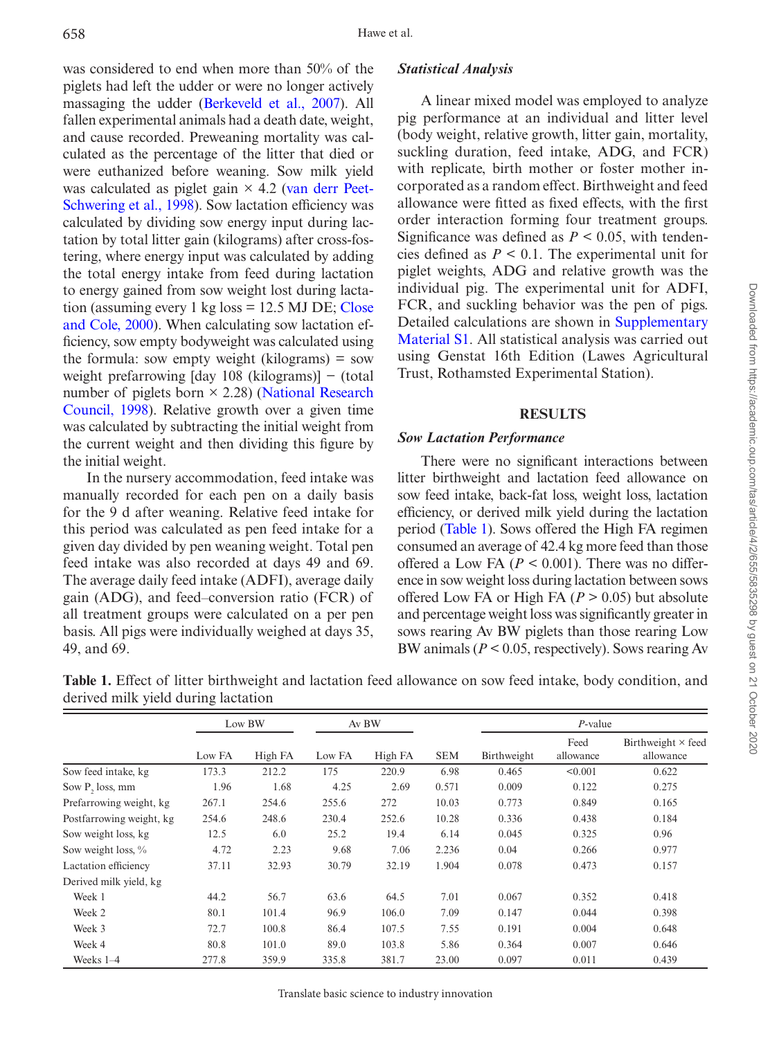was considered to end when more than 50% of the piglets had left the udder or were no longer actively massaging the udder [\(Berkeveld et al., 2007](#page-10-4)). All fallen experimental animals had a death date, weight, and cause recorded. Preweaning mortality was calculated as the percentage of the litter that died or were euthanized before weaning. Sow milk yield was calculated as piglet gain  $\times$  4.2 [\(van derr Peet-](#page-11-6)[Schwering et al., 1998\)](#page-11-6). Sow lactation efficiency was calculated by dividing sow energy input during lactation by total litter gain (kilograms) after cross-fostering, where energy input was calculated by adding the total energy intake from feed during lactation to energy gained from sow weight lost during lactation (assuming every 1 kg loss  $= 12.5$  MJ DE; [Close](#page-10-5) [and Cole, 2000\)](#page-10-5). When calculating sow lactation efficiency, sow empty bodyweight was calculated using the formula: sow empty weight (kilograms)  $=$  sow weight prefarrowing [day 108 (kilograms)] − (total number of piglets born  $\times$  2.28) [\(National Research](#page-11-7) [Council, 1998](#page-11-7)). Relative growth over a given time was calculated by subtracting the initial weight from the current weight and then dividing this figure by the initial weight.

In the nursery accommodation, feed intake was manually recorded for each pen on a daily basis for the 9 d after weaning. Relative feed intake for this period was calculated as pen feed intake for a given day divided by pen weaning weight. Total pen feed intake was also recorded at days 49 and 69. The average daily feed intake (ADFI), average daily gain (ADG), and feed–conversion ratio (FCR) of all treatment groups were calculated on a per pen basis. All pigs were individually weighed at days 35, 49, and 69.

# *Statistical Analysis*

A linear mixed model was employed to analyze pig performance at an individual and litter level (body weight, relative growth, litter gain, mortality, suckling duration, feed intake, ADG, and FCR) with replicate, birth mother or foster mother incorporated as a random effect. Birthweight and feed allowance were fitted as fixed effects, with the first order interaction forming four treatment groups. Significance was defined as  $P \leq 0.05$ , with tendencies defined as  $P \le 0.1$ . The experimental unit for piglet weights, ADG and relative growth was the individual pig. The experimental unit for ADFI, FCR, and suckling behavior was the pen of pigs. Detailed calculations are shown in [Supplementary](http://academic.oup.com/tas/article-lookup/doi/10.1093/tas/txaa055#supplementary-data)  [Material S1.](http://academic.oup.com/tas/article-lookup/doi/10.1093/tas/txaa055#supplementary-data) All statistical analysis was carried out using Genstat 16th Edition (Lawes Agricultural Trust, Rothamsted Experimental Station).

# **RESULTS**

# *Sow Lactation Performance*

There were no significant interactions between litter birthweight and lactation feed allowance on sow feed intake, back-fat loss, weight loss, lactation efficiency, or derived milk yield during the lactation period [\(Table 1\)](#page-4-0). Sows offered the High FA regimen consumed an average of 42.4 kg more feed than those offered a Low FA  $(P < 0.001)$ . There was no difference in sow weight loss during lactation between sows offered Low FA or High FA  $(P > 0.05)$  but absolute and percentage weight loss was significantly greater in sows rearing Av BW piglets than those rearing Low BW animals (*P* < 0.05, respectively). Sows rearing Av

|                             | Low BW |         | Av BW  |         |            | $P$ -value  |                   |                                        |  |
|-----------------------------|--------|---------|--------|---------|------------|-------------|-------------------|----------------------------------------|--|
|                             | Low FA | High FA | Low FA | High FA | <b>SEM</b> | Birthweight | Feed<br>allowance | Birthweight $\times$ feed<br>allowance |  |
| Sow feed intake, kg         | 173.3  | 212.2   | 175    | 220.9   | 6.98       | 0.465       | < 0.001           | 0.622                                  |  |
| Sow P <sub>2</sub> loss, mm | 1.96   | 1.68    | 4.25   | 2.69    | 0.571      | 0.009       | 0.122             | 0.275                                  |  |
| Prefarrowing weight, kg     | 267.1  | 254.6   | 255.6  | 272     | 10.03      | 0.773       | 0.849             | 0.165                                  |  |
| Postfarrowing weight, kg    | 254.6  | 248.6   | 230.4  | 252.6   | 10.28      | 0.336       | 0.438             | 0.184                                  |  |
| Sow weight loss, kg         | 12.5   | 6.0     | 25.2   | 19.4    | 6.14       | 0.045       | 0.325             | 0.96                                   |  |
| Sow weight loss, %          | 4.72   | 2.23    | 9.68   | 7.06    | 2.236      | 0.04        | 0.266             | 0.977                                  |  |
| Lactation efficiency        | 37.11  | 32.93   | 30.79  | 32.19   | 1.904      | 0.078       | 0.473             | 0.157                                  |  |
| Derived milk yield, kg      |        |         |        |         |            |             |                   |                                        |  |
| Week 1                      | 44.2   | 56.7    | 63.6   | 64.5    | 7.01       | 0.067       | 0.352             | 0.418                                  |  |
| Week 2                      | 80.1   | 101.4   | 96.9   | 106.0   | 7.09       | 0.147       | 0.044             | 0.398                                  |  |
| Week 3                      | 72.7   | 100.8   | 86.4   | 107.5   | 7.55       | 0.191       | 0.004             | 0.648                                  |  |
| Week 4                      | 80.8   | 101.0   | 89.0   | 103.8   | 5.86       | 0.364       | 0.007             | 0.646                                  |  |
| Weeks $1-4$                 | 277.8  | 359.9   | 335.8  | 381.7   | 23.00      | 0.097       | 0.011             | 0.439                                  |  |

<span id="page-4-0"></span>**Table 1.** Effect of litter birthweight and lactation feed allowance on sow feed intake, body condition, and derived milk yield during lactation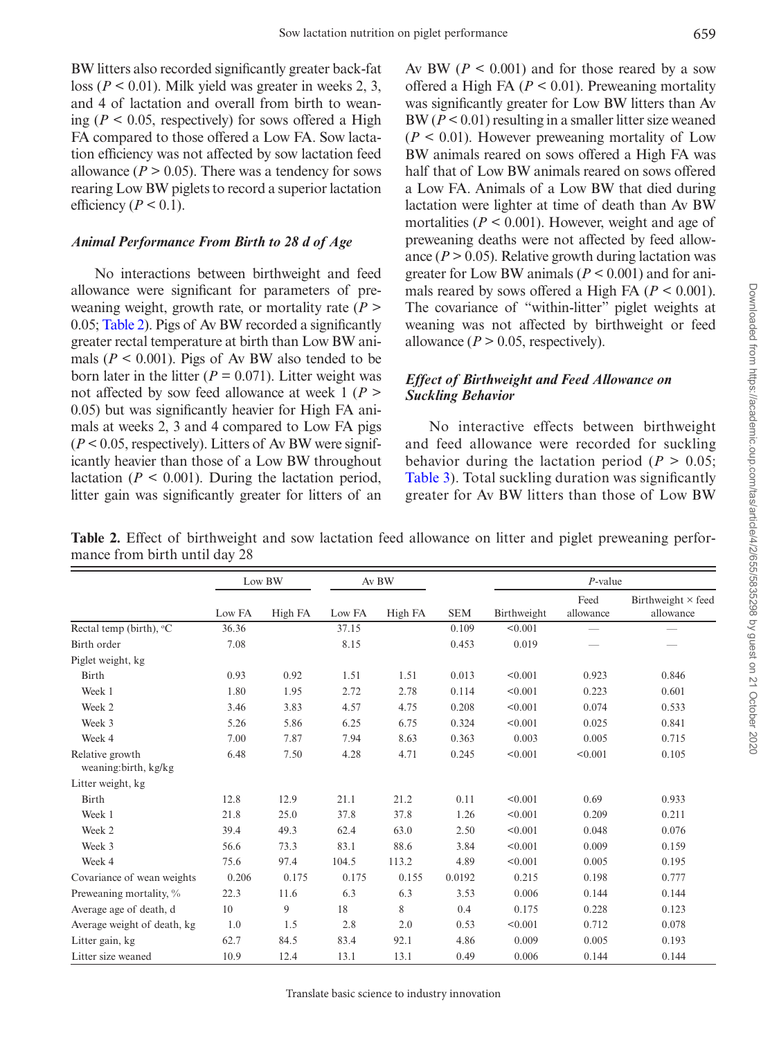BW litters also recorded significantly greater back-fat loss (*P* < 0.01). Milk yield was greater in weeks 2, 3, and 4 of lactation and overall from birth to weaning ( $P < 0.05$ , respectively) for sows offered a High FA compared to those offered a Low FA. Sow lactation efficiency was not affected by sow lactation feed allowance  $(P > 0.05)$ . There was a tendency for sows rearing Low BW piglets to record a superior lactation efficiency ( $P < 0.1$ ).

## *Animal Performance From Birth to 28 d of Age*

No interactions between birthweight and feed allowance were significant for parameters of preweaning weight, growth rate, or mortality rate (*P* > 0.05; [Table 2\)](#page-5-0). Pigs of Av BW recorded a significantly greater rectal temperature at birth than Low BW animals ( $P < 0.001$ ). Pigs of Av BW also tended to be born later in the litter  $(P = 0.071)$ . Litter weight was not affected by sow feed allowance at week 1 (*P* > 0.05) but was significantly heavier for High FA animals at weeks 2, 3 and 4 compared to Low FA pigs  $(P < 0.05$ , respectively). Litters of Av BW were significantly heavier than those of a Low BW throughout lactation ( $P < 0.001$ ). During the lactation period, litter gain was significantly greater for litters of an Av BW ( $P < 0.001$ ) and for those reared by a sow offered a High FA ( $P < 0.01$ ). Preweaning mortality was significantly greater for Low BW litters than Av BW (*P* < 0.01) resulting in a smaller litter size weaned  $(P < 0.01)$ . However preweaning mortality of Low BW animals reared on sows offered a High FA was half that of Low BW animals reared on sows offered a Low FA. Animals of a Low BW that died during lactation were lighter at time of death than Av BW mortalities ( $P < 0.001$ ). However, weight and age of preweaning deaths were not affected by feed allowance  $(P > 0.05)$ . Relative growth during lactation was greater for Low BW animals (*P* < 0.001) and for animals reared by sows offered a High FA  $(P < 0.001)$ . The covariance of "within-litter" piglet weights at weaning was not affected by birthweight or feed allowance  $(P > 0.05$ , respectively).

## *Effect of Birthweight and Feed Allowance on Suckling Behavior*

No interactive effects between birthweight and feed allowance were recorded for suckling behavior during the lactation period ( $P > 0.05$ ; [Table 3](#page-6-0)). Total suckling duration was significantly greater for Av BW litters than those of Low BW

<span id="page-5-0"></span>**Table 2.** Effect of birthweight and sow lactation feed allowance on litter and piglet preweaning performance from birth until day 28

|                                          |        | Low BW  |        | Av BW   |            | $P$ -value  |                          |                            |  |
|------------------------------------------|--------|---------|--------|---------|------------|-------------|--------------------------|----------------------------|--|
|                                          | Low FA | High FA | Low FA | High FA | <b>SEM</b> | Birthweight | Feed<br>allowance        | Birthweight ×<br>allowance |  |
| Rectal temp (birth), °C                  | 36.36  |         | 37.15  |         | 0.109      | < 0.001     | $\overline{\phantom{0}}$ |                            |  |
| Birth order                              | 7.08   |         | 8.15   |         | 0.453      | 0.019       |                          |                            |  |
| Piglet weight, kg                        |        |         |        |         |            |             |                          |                            |  |
| Birth                                    | 0.93   | 0.92    | 1.51   | 1.51    | 0.013      | < 0.001     | 0.923                    | 0.846                      |  |
| Week 1                                   | 1.80   | 1.95    | 2.72   | 2.78    | 0.114      | < 0.001     | 0.223                    | 0.601                      |  |
| Week 2                                   | 3.46   | 3.83    | 4.57   | 4.75    | 0.208      | < 0.001     | 0.074                    | 0.533                      |  |
| Week 3                                   | 5.26   | 5.86    | 6.25   | 6.75    | 0.324      | < 0.001     | 0.025                    | 0.841                      |  |
| Week 4                                   | 7.00   | 7.87    | 7.94   | 8.63    | 0.363      | 0.003       | 0.005                    | 0.715                      |  |
| Relative growth<br>weaning: birth, kg/kg | 6.48   | 7.50    | 4.28   | 4.71    | 0.245      | < 0.001     | < 0.001                  | 0.105                      |  |
| Litter weight, kg                        |        |         |        |         |            |             |                          |                            |  |
| Birth                                    | 12.8   | 12.9    | 21.1   | 21.2    | 0.11       | < 0.001     | 0.69                     | 0.933                      |  |
| Week 1                                   | 21.8   | 25.0    | 37.8   | 37.8    | 1.26       | < 0.001     | 0.209                    | 0.211                      |  |
| Week 2                                   | 39.4   | 49.3    | 62.4   | 63.0    | 2.50       | < 0.001     | 0.048                    | 0.076                      |  |
| Week 3                                   | 56.6   | 73.3    | 83.1   | 88.6    | 3.84       | < 0.001     | 0.009                    | 0.159                      |  |
| Week 4                                   | 75.6   | 97.4    | 104.5  | 113.2   | 4.89       | < 0.001     | 0.005                    | 0.195                      |  |
| Covariance of wean weights               | 0.206  | 0.175   | 0.175  | 0.155   | 0.0192     | 0.215       | 0.198                    | 0.777                      |  |
| Preweaning mortality, %                  | 22.3   | 11.6    | 6.3    | 6.3     | 3.53       | 0.006       | 0.144                    | 0.144                      |  |
| Average age of death, d                  | 10     | 9       | 18     | 8       | 0.4        | 0.175       | 0.228                    | 0.123                      |  |
| Average weight of death, kg              | 1.0    | 1.5     | 2.8    | 2.0     | 0.53       | < 0.001     | 0.712                    | 0.078                      |  |
| Litter gain, kg                          | 62.7   | 84.5    | 83.4   | 92.1    | 4.86       | 0.009       | 0.005                    | 0.193                      |  |
| Litter size weaned                       | 10.9   | 12.4    | 13.1   | 13.1    | 0.49       | 0.006       | 0.144                    | 0.144                      |  |

feed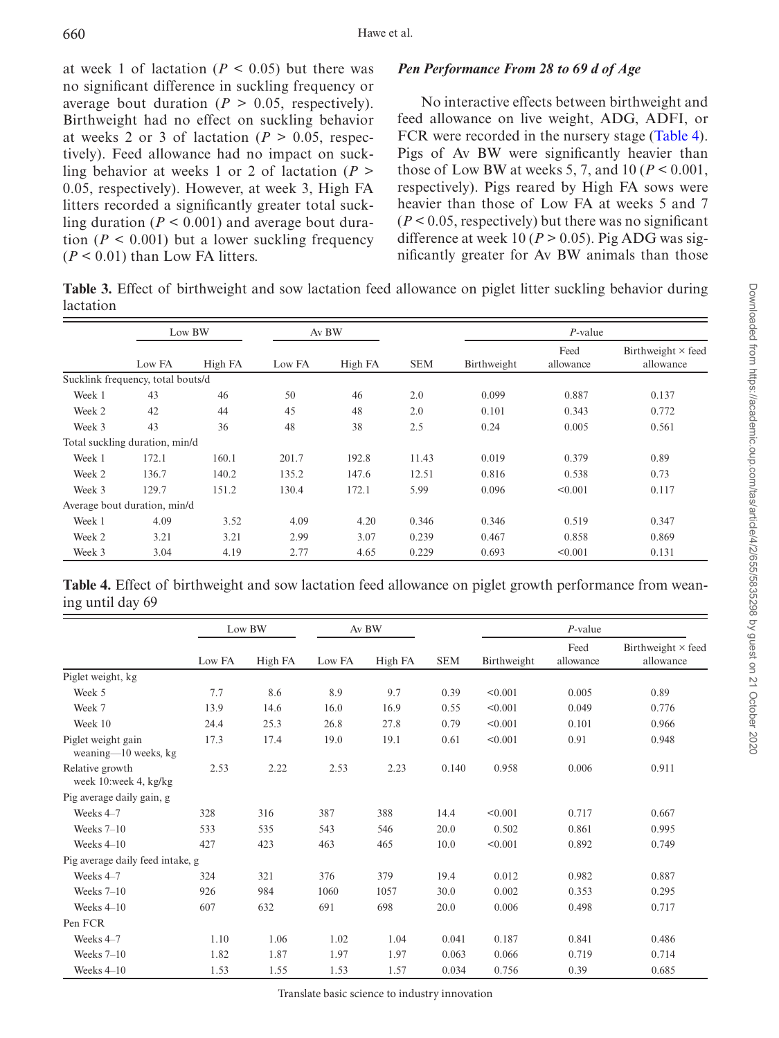at week 1 of lactation  $(P < 0.05)$  but there was no significant difference in suckling frequency or average bout duration ( $P > 0.05$ , respectively). Birthweight had no effect on suckling behavior at weeks 2 or 3 of lactation ( $P > 0.05$ , respectively). Feed allowance had no impact on suckling behavior at weeks 1 or 2 of lactation (*P* > 0.05, respectively). However, at week 3, High FA litters recorded a significantly greater total suckling duration  $(P < 0.001)$  and average bout duration  $(P < 0.001)$  but a lower suckling frequency  $(P < 0.01)$  than Low FA litters.

# *Pen Performance From 28 to 69 d of Age*

No interactive effects between birthweight and feed allowance on live weight, ADG, ADFI, or FCR were recorded in the nursery stage ([Table 4](#page-6-1)). Pigs of Av BW were significantly heavier than those of Low BW at weeks 5, 7, and 10 ( $P < 0.001$ , respectively). Pigs reared by High FA sows were heavier than those of Low FA at weeks 5 and 7  $(P < 0.05$ , respectively) but there was no significant difference at week 10 ( $P > 0.05$ ). Pig ADG was significantly greater for Av BW animals than those

<span id="page-6-0"></span>**Table 3.** Effect of birthweight and sow lactation feed allowance on piglet litter suckling behavior during lactation

|        | Low BW                            |         | Av BW  |         |            | $P$ -value  |                   |                                        |  |
|--------|-----------------------------------|---------|--------|---------|------------|-------------|-------------------|----------------------------------------|--|
|        | Low FA                            | High FA | Low FA | High FA | <b>SEM</b> | Birthweight | Feed<br>allowance | Birthweight $\times$ feed<br>allowance |  |
|        | Sucklink frequency, total bouts/d |         |        |         |            |             |                   |                                        |  |
| Week 1 | 43                                | 46      | 50     | 46      | 2.0        | 0.099       | 0.887             | 0.137                                  |  |
| Week 2 | 42                                | 44      | 45     | 48      | 2.0        | 0.101       | 0.343             | 0.772                                  |  |
| Week 3 | 43                                | 36      | 48     | 38      | 2.5        | 0.24        | 0.005             | 0.561                                  |  |
|        | Total suckling duration, min/d    |         |        |         |            |             |                   |                                        |  |
| Week 1 | 172.1                             | 160.1   | 201.7  | 192.8   | 11.43      | 0.019       | 0.379             | 0.89                                   |  |
| Week 2 | 136.7                             | 140.2   | 135.2  | 147.6   | 12.51      | 0.816       | 0.538             | 0.73                                   |  |
| Week 3 | 129.7                             | 151.2   | 130.4  | 172.1   | 5.99       | 0.096       | < 0.001           | 0.117                                  |  |
|        | Average bout duration, min/d      |         |        |         |            |             |                   |                                        |  |
| Week 1 | 4.09                              | 3.52    | 4.09   | 4.20    | 0.346      | 0.346       | 0.519             | 0.347                                  |  |
| Week 2 | 3.21                              | 3.21    | 2.99   | 3.07    | 0.239      | 0.467       | 0.858             | 0.869                                  |  |
| Week 3 | 3.04                              | 4.19    | 2.77   | 4.65    | 0.229      | 0.693       | < 0.001           | 0.131                                  |  |

<span id="page-6-1"></span>**Table 4.** Effect of birthweight and sow lactation feed allowance on piglet growth performance from weaning until day 69

|                                               | Low BW |         |        | Av BW   |            |             |                   |                                        |
|-----------------------------------------------|--------|---------|--------|---------|------------|-------------|-------------------|----------------------------------------|
|                                               | Low FA | High FA | Low FA | High FA | <b>SEM</b> | Birthweight | Feed<br>allowance | Birthweight $\times$ feed<br>allowance |
| Piglet weight, kg                             |        |         |        |         |            |             |                   |                                        |
| Week 5                                        | 7.7    | 8.6     | 8.9    | 9.7     | 0.39       | < 0.001     | 0.005             | 0.89                                   |
| Week 7                                        | 13.9   | 14.6    | 16.0   | 16.9    | 0.55       | < 0.001     | 0.049             | 0.776                                  |
| Week 10                                       | 24.4   | 25.3    | 26.8   | 27.8    | 0.79       | < 0.001     | 0.101             | 0.966                                  |
| Piglet weight gain<br>weaning— $10$ weeks, kg | 17.3   | 17.4    | 19.0   | 19.1    | 0.61       | < 0.001     | 0.91              | 0.948                                  |
| Relative growth<br>week 10:week 4, kg/kg      | 2.53   | 2.22    | 2.53   | 2.23    | 0.140      | 0.958       | 0.006             | 0.911                                  |
| Pig average daily gain, g                     |        |         |        |         |            |             |                   |                                        |
| Weeks 4-7                                     | 328    | 316     | 387    | 388     | 14.4       | < 0.001     | 0.717             | 0.667                                  |
| Weeks $7-10$                                  | 533    | 535     | 543    | 546     | 20.0       | 0.502       | 0.861             | 0.995                                  |
| Weeks $4-10$                                  | 427    | 423     | 463    | 465     | 10.0       | < 0.001     | 0.892             | 0.749                                  |
| Pig average daily feed intake, g              |        |         |        |         |            |             |                   |                                        |
| Weeks 4-7                                     | 324    | 321     | 376    | 379     | 19.4       | 0.012       | 0.982             | 0.887                                  |
| Weeks $7-10$                                  | 926    | 984     | 1060   | 1057    | 30.0       | 0.002       | 0.353             | 0.295                                  |
| Weeks $4-10$                                  | 607    | 632     | 691    | 698     | 20.0       | 0.006       | 0.498             | 0.717                                  |
| Pen FCR                                       |        |         |        |         |            |             |                   |                                        |
| Weeks 4-7                                     | 1.10   | 1.06    | 1.02   | 1.04    | 0.041      | 0.187       | 0.841             | 0.486                                  |
| Weeks $7-10$                                  | 1.82   | 1.87    | 1.97   | 1.97    | 0.063      | 0.066       | 0.719             | 0.714                                  |
| Weeks $4-10$                                  | 1.53   | 1.55    | 1.53   | 1.57    | 0.034      | 0.756       | 0.39              | 0.685                                  |

Translate basic science to industry innovation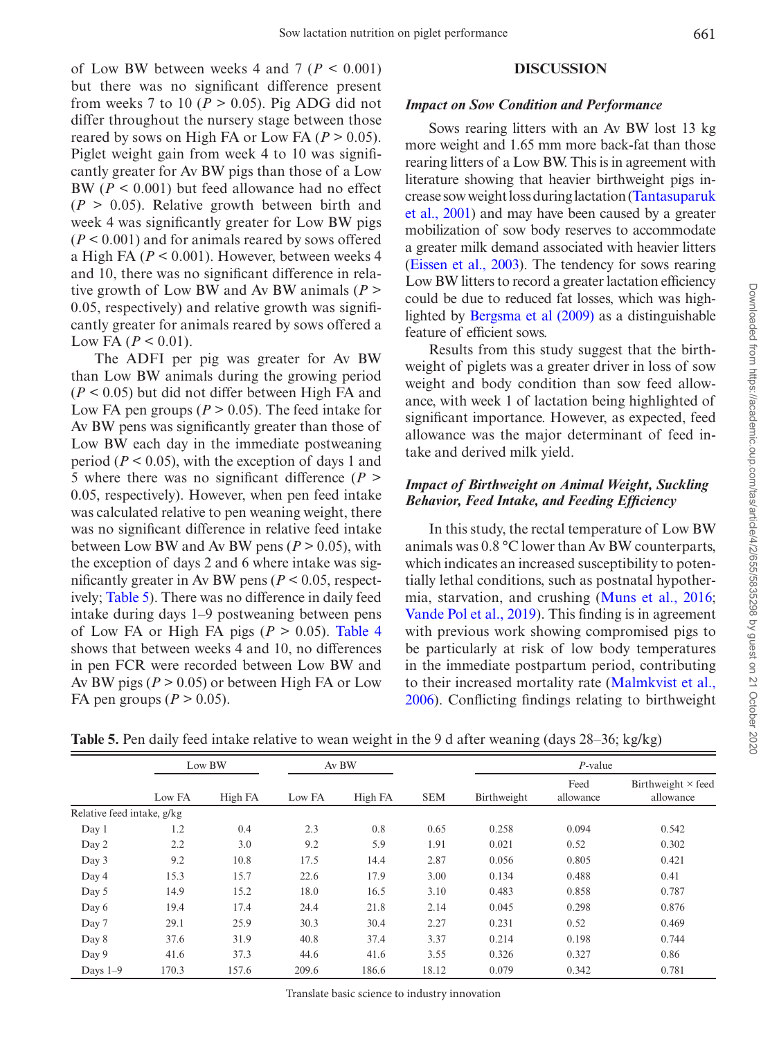of Low BW between weeks 4 and 7 ( $P < 0.001$ ) but there was no significant difference present from weeks 7 to 10 ( $P > 0.05$ ). Pig ADG did not differ throughout the nursery stage between those reared by sows on High FA or Low FA  $(P > 0.05)$ . Piglet weight gain from week 4 to 10 was significantly greater for Av BW pigs than those of a Low BW (*P* < 0.001) but feed allowance had no effect  $(P > 0.05)$ . Relative growth between birth and week 4 was significantly greater for Low BW pigs (*P* < 0.001) and for animals reared by sows offered a High FA (*P* < 0.001). However, between weeks 4 and 10, there was no significant difference in relative growth of Low BW and Av BW animals (*P* > 0.05, respectively) and relative growth was significantly greater for animals reared by sows offered a Low FA ( $P < 0.01$ ).

The ADFI per pig was greater for Av BW than Low BW animals during the growing period (*P* < 0.05) but did not differ between High FA and Low FA pen groups ( $P > 0.05$ ). The feed intake for Av BW pens was significantly greater than those of Low BW each day in the immediate postweaning period ( $P < 0.05$ ), with the exception of days 1 and 5 where there was no significant difference (*P* > 0.05, respectively). However, when pen feed intake was calculated relative to pen weaning weight, there was no significant difference in relative feed intake between Low BW and Av BW pens  $(P > 0.05)$ , with the exception of days 2 and 6 where intake was significantly greater in Av BW pens ( $P < 0.05$ , respectively; [Table 5\)](#page-7-0). There was no difference in daily feed intake during days 1–9 postweaning between pens of Low FA or High FA pigs ( $P > 0.05$ ). Table 4 shows that between weeks 4 and 10, no differences in pen FCR were recorded between Low BW and Av BW pigs  $(P > 0.05)$  or between High FA or Low FA pen groups  $(P > 0.05)$ .

### **DISCUSSION**

### *Impact on Sow Condition and Performance*

Sows rearing litters with an Av BW lost 13 kg more weight and 1.65 mm more back-fat than those rearing litters of a Low BW. This is in agreement with literature showing that heavier birthweight pigs increase sow weight loss during lactation [\(Tantasuparuk](#page-11-8)  [et al., 2001](#page-11-8)) and may have been caused by a greater mobilization of sow body reserves to accommodate a greater milk demand associated with heavier litters [\(Eissen et al., 2003\)](#page-10-6). The tendency for sows rearing Low BW litters to record a greater lactation efficiency could be due to reduced fat losses, which was highlighted by [Bergsma et al \(2009\)](#page-10-7) as a distinguishable feature of efficient sows.

Results from this study suggest that the birthweight of piglets was a greater driver in loss of sow weight and body condition than sow feed allowance, with week 1 of lactation being highlighted of significant importance. However, as expected, feed allowance was the major determinant of feed intake and derived milk yield.

# *Impact of Birthweight on Animal Weight, Suckling Behavior, Feed Intake, and Feeding Efficiency*

In this study, the rectal temperature of Low BW animals was 0.8 °C lower than Av BW counterparts, which indicates an increased susceptibility to potentially lethal conditions, such as postnatal hypothermia, starvation, and crushing ([Muns et al., 2016](#page-10-8); [Vande Pol et al., 2019\)](#page-11-9). This finding is in agreement with previous work showing compromised pigs to be particularly at risk of low body temperatures in the immediate postpartum period, contributing to their increased mortality rate ([Malmkvist et al.,](#page-10-9) [2006](#page-10-9)). Conflicting findings relating to birthweight

|                            | Low BW |         | Av BW  |         |            | $P$ -value  |                   |                                        |
|----------------------------|--------|---------|--------|---------|------------|-------------|-------------------|----------------------------------------|
|                            | Low FA | High FA | Low FA | High FA | <b>SEM</b> | Birthweight | Feed<br>allowance | Birthweight $\times$ feed<br>allowance |
| Relative feed intake, g/kg |        |         |        |         |            |             |                   |                                        |
| Day 1                      | 1.2    | 0.4     | 2.3    | 0.8     | 0.65       | 0.258       | 0.094             | 0.542                                  |
| Day 2                      | 2.2    | 3.0     | 9.2    | 5.9     | 1.91       | 0.021       | 0.52              | 0.302                                  |
| Day 3                      | 9.2    | 10.8    | 17.5   | 14.4    | 2.87       | 0.056       | 0.805             | 0.421                                  |
| Day 4                      | 15.3   | 15.7    | 22.6   | 17.9    | 3.00       | 0.134       | 0.488             | 0.41                                   |
| Day 5                      | 14.9   | 15.2    | 18.0   | 16.5    | 3.10       | 0.483       | 0.858             | 0.787                                  |
| Day 6                      | 19.4   | 17.4    | 24.4   | 21.8    | 2.14       | 0.045       | 0.298             | 0.876                                  |
| Day 7                      | 29.1   | 25.9    | 30.3   | 30.4    | 2.27       | 0.231       | 0.52              | 0.469                                  |
| Day 8                      | 37.6   | 31.9    | 40.8   | 37.4    | 3.37       | 0.214       | 0.198             | 0.744                                  |
| Day 9                      | 41.6   | 37.3    | 44.6   | 41.6    | 3.55       | 0.326       | 0.327             | 0.86                                   |
| Days $1-9$                 | 170.3  | 157.6   | 209.6  | 186.6   | 18.12      | 0.079       | 0.342             | 0.781                                  |

<span id="page-7-0"></span>**Table 5.** Pen daily feed intake relative to wean weight in the 9 d after weaning (days 28–36; kg/kg)

Translate basic science to industry innovation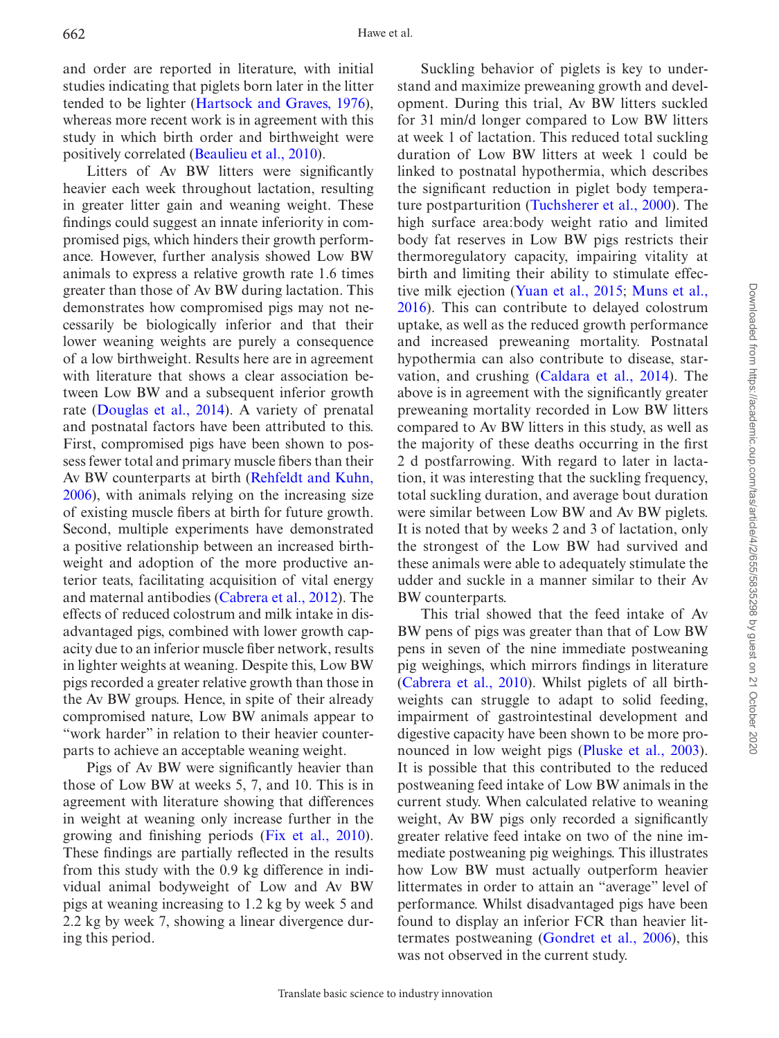and order are reported in literature, with initial studies indicating that piglets born later in the litter tended to be lighter [\(Hartsock and Graves, 1976](#page-10-10)), whereas more recent work is in agreement with this study in which birth order and birthweight were positively correlated [\(Beaulieu et al., 2010\)](#page-10-2).

Litters of Av BW litters were significantly heavier each week throughout lactation, resulting in greater litter gain and weaning weight. These findings could suggest an innate inferiority in compromised pigs, which hinders their growth performance. However, further analysis showed Low BW animals to express a relative growth rate 1.6 times greater than those of Av BW during lactation. This demonstrates how compromised pigs may not necessarily be biologically inferior and that their lower weaning weights are purely a consequence of a low birthweight. Results here are in agreement with literature that shows a clear association between Low BW and a subsequent inferior growth rate ([Douglas et al., 2014](#page-10-3)). A variety of prenatal and postnatal factors have been attributed to this. First, compromised pigs have been shown to possess fewer total and primary muscle fibers than their Av BW counterparts at birth [\(Rehfeldt and Kuhn,](#page-11-10)  [2006](#page-11-10)), with animals relying on the increasing size of existing muscle fibers at birth for future growth. Second, multiple experiments have demonstrated a positive relationship between an increased birthweight and adoption of the more productive anterior teats, facilitating acquisition of vital energy and maternal antibodies [\(Cabrera et al., 2012\)](#page-10-11). The effects of reduced colostrum and milk intake in disadvantaged pigs, combined with lower growth capacity due to an inferior muscle fiber network, results in lighter weights at weaning. Despite this, Low BW pigs recorded a greater relative growth than those in the Av BW groups. Hence, in spite of their already compromised nature, Low BW animals appear to "work harder" in relation to their heavier counterparts to achieve an acceptable weaning weight.

Pigs of Av BW were significantly heavier than those of Low BW at weeks 5, 7, and 10. This is in agreement with literature showing that differences in weight at weaning only increase further in the growing and finishing periods [\(Fix et al., 2010](#page-10-12)). These findings are partially reflected in the results from this study with the 0.9 kg difference in individual animal bodyweight of Low and Av BW pigs at weaning increasing to 1.2 kg by week 5 and 2.2 kg by week 7, showing a linear divergence during this period.

Suckling behavior of piglets is key to understand and maximize preweaning growth and development. During this trial, Av BW litters suckled for 31 min/d longer compared to Low BW litters at week 1 of lactation. This reduced total suckling duration of Low BW litters at week 1 could be linked to postnatal hypothermia, which describes the significant reduction in piglet body temperature postparturition [\(Tuchsherer et al., 2000\)](#page-11-11). The high surface area:body weight ratio and limited body fat reserves in Low BW pigs restricts their thermoregulatory capacity, impairing vitality at birth and limiting their ability to stimulate effective milk ejection ([Yuan et al., 2015;](#page-11-12) [Muns et al.,](#page-10-8) [2016](#page-10-8)). This can contribute to delayed colostrum uptake, as well as the reduced growth performance and increased preweaning mortality. Postnatal hypothermia can also contribute to disease, starvation, and crushing [\(Caldara et al., 2014](#page-10-13)). The above is in agreement with the significantly greater preweaning mortality recorded in Low BW litters compared to Av BW litters in this study, as well as the majority of these deaths occurring in the first 2 d postfarrowing. With regard to later in lactation, it was interesting that the suckling frequency, total suckling duration, and average bout duration were similar between Low BW and Av BW piglets. It is noted that by weeks 2 and 3 of lactation, only the strongest of the Low BW had survived and these animals were able to adequately stimulate the udder and suckle in a manner similar to their Av BW counterparts.

This trial showed that the feed intake of Av BW pens of pigs was greater than that of Low BW pens in seven of the nine immediate postweaning pig weighings, which mirrors findings in literature ([Cabrera et al., 2010](#page-10-14)). Whilst piglets of all birthweights can struggle to adapt to solid feeding, impairment of gastrointestinal development and digestive capacity have been shown to be more pronounced in low weight pigs (Pluske et al., 2003). It is possible that this contributed to the reduced postweaning feed intake of Low BW animals in the current study. When calculated relative to weaning weight, Av BW pigs only recorded a significantly greater relative feed intake on two of the nine immediate postweaning pig weighings. This illustrates how Low BW must actually outperform heavier littermates in order to attain an "average" level of performance. Whilst disadvantaged pigs have been found to display an inferior FCR than heavier littermates postweaning [\(Gondret et al., 2006](#page-10-15)), this was not observed in the current study.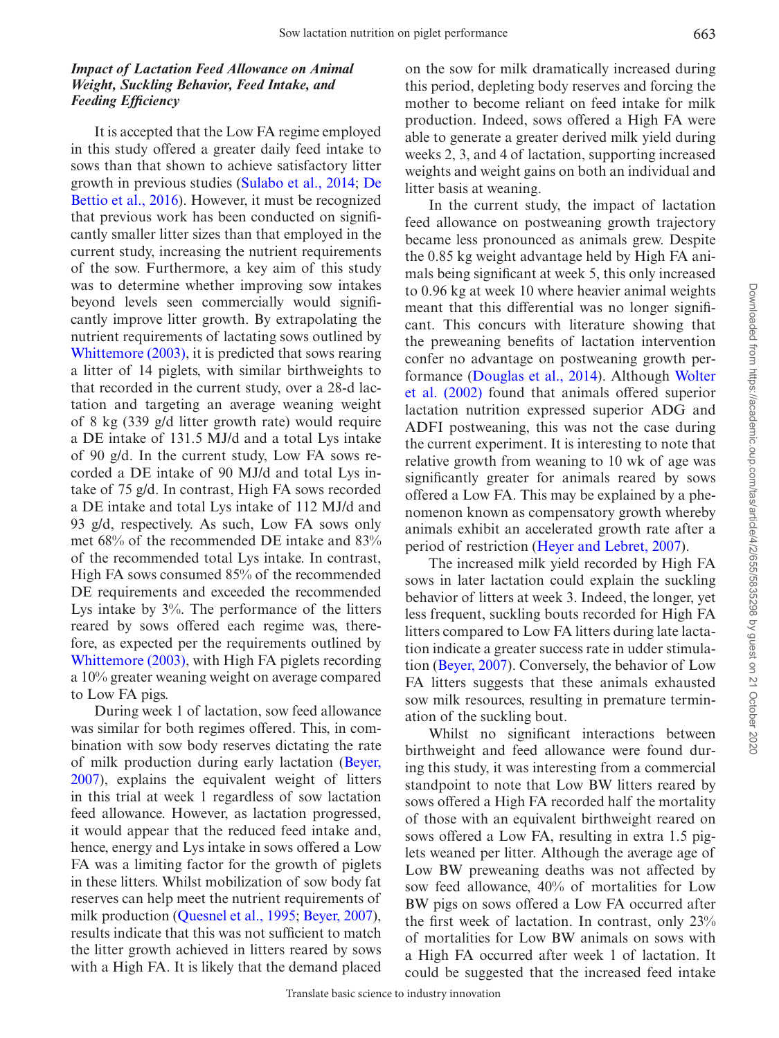### *Impact of Lactation Feed Allowance on Animal Weight, Suckling Behavior, Feed Intake, and Feeding Efficiency*

It is accepted that the Low FA regime employed in this study offered a greater daily feed intake to sows than that shown to achieve satisfactory litter growth in previous studies ([Sulabo et al., 2014;](#page-11-1) [De](#page-10-16)  [Bettio et al., 2016\)](#page-10-16). However, it must be recognized that previous work has been conducted on significantly smaller litter sizes than that employed in the current study, increasing the nutrient requirements of the sow. Furthermore, a key aim of this study was to determine whether improving sow intakes beyond levels seen commercially would significantly improve litter growth. By extrapolating the nutrient requirements of lactating sows outlined by [Whittemore \(2003\),](#page-11-14) it is predicted that sows rearing a litter of 14 piglets, with similar birthweights to that recorded in the current study, over a 28-d lactation and targeting an average weaning weight of 8 kg (339 g/d litter growth rate) would require a DE intake of 131.5 MJ/d and a total Lys intake of 90 g/d. In the current study, Low FA sows recorded a DE intake of 90 MJ/d and total Lys intake of 75 g/d. In contrast, High FA sows recorded a DE intake and total Lys intake of 112 MJ/d and 93 g/d, respectively. As such, Low FA sows only met 68% of the recommended DE intake and 83% of the recommended total Lys intake. In contrast, High FA sows consumed 85% of the recommended DE requirements and exceeded the recommended Lys intake by 3%. The performance of the litters reared by sows offered each regime was, therefore, as expected per the requirements outlined by [Whittemore \(2003\),](#page-11-14) with High FA piglets recording a 10% greater weaning weight on average compared to Low FA pigs.

During week 1 of lactation, sow feed allowance was similar for both regimes offered. This, in combination with sow body reserves dictating the rate of milk production during early lactation [\(Beyer,](#page-10-17)  [2007\)](#page-10-17), explains the equivalent weight of litters in this trial at week 1 regardless of sow lactation feed allowance. However, as lactation progressed, it would appear that the reduced feed intake and, hence, energy and Lys intake in sows offered a Low FA was a limiting factor for the growth of piglets in these litters. Whilst mobilization of sow body fat reserves can help meet the nutrient requirements of milk production [\(Quesnel et al., 1995;](#page-11-15) [Beyer, 2007](#page-10-17)), results indicate that this was not sufficient to match the litter growth achieved in litters reared by sows with a High FA. It is likely that the demand placed on the sow for milk dramatically increased during this period, depleting body reserves and forcing the mother to become reliant on feed intake for milk production. Indeed, sows offered a High FA were able to generate a greater derived milk yield during weeks 2, 3, and 4 of lactation, supporting increased weights and weight gains on both an individual and litter basis at weaning.

In the current study, the impact of lactation feed allowance on postweaning growth trajectory became less pronounced as animals grew. Despite the 0.85 kg weight advantage held by High FA animals being significant at week 5, this only increased to 0.96 kg at week 10 where heavier animal weights meant that this differential was no longer significant. This concurs with literature showing that the preweaning benefits of lactation intervention confer no advantage on postweaning growth performance [\(Douglas et al., 2014\)](#page-10-3). Although [Wolter](#page-11-2)  [et al. \(2002\)](#page-11-2) found that animals offered superior lactation nutrition expressed superior ADG and ADFI postweaning, this was not the case during the current experiment. It is interesting to note that relative growth from weaning to 10 wk of age was significantly greater for animals reared by sows offered a Low FA. This may be explained by a phenomenon known as compensatory growth whereby animals exhibit an accelerated growth rate after a period of restriction [\(Heyer and Lebret, 2007](#page-10-18)).

The increased milk yield recorded by High FA sows in later lactation could explain the suckling behavior of litters at week 3. Indeed, the longer, yet less frequent, suckling bouts recorded for High FA litters compared to Low FA litters during late lactation indicate a greater success rate in udder stimulation ([Beyer, 2007\)](#page-10-17). Conversely, the behavior of Low FA litters suggests that these animals exhausted sow milk resources, resulting in premature termination of the suckling bout.

Whilst no significant interactions between birthweight and feed allowance were found during this study, it was interesting from a commercial standpoint to note that Low BW litters reared by sows offered a High FA recorded half the mortality of those with an equivalent birthweight reared on sows offered a Low FA, resulting in extra 1.5 piglets weaned per litter. Although the average age of Low BW preweaning deaths was not affected by sow feed allowance, 40% of mortalities for Low BW pigs on sows offered a Low FA occurred after the first week of lactation. In contrast, only 23% of mortalities for Low BW animals on sows with a High FA occurred after week 1 of lactation. It could be suggested that the increased feed intake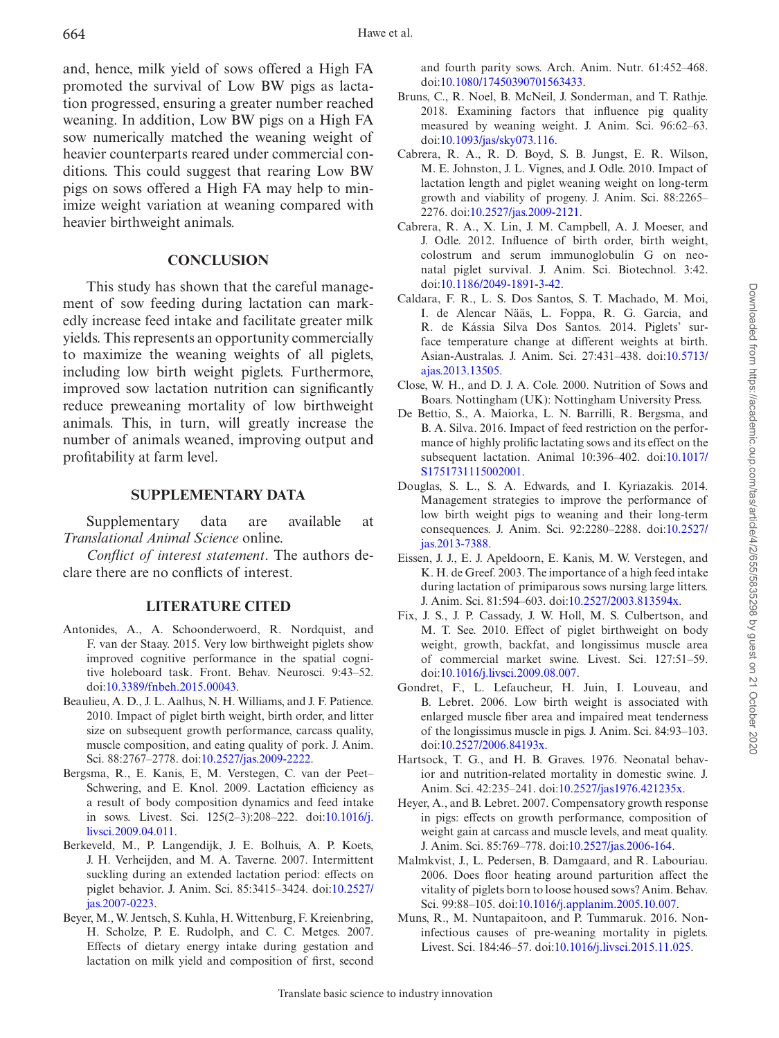and, hence, milk yield of sows offered a High FA promoted the survival of Low BW pigs as lactation progressed, ensuring a greater number reached weaning. In addition, Low BW pigs on a High FA sow numerically matched the weaning weight of heavier counterparts reared under commercial conditions. This could suggest that rearing Low BW pigs on sows offered a High FA may help to minimize weight variation at weaning compared with heavier birthweight animals.

### **CONCLUSION**

This study has shown that the careful management of sow feeding during lactation can markedly increase feed intake and facilitate greater milk yields. This represents an opportunity commercially to maximize the weaning weights of all piglets, including low birth weight piglets. Furthermore, improved sow lactation nutrition can significantly reduce preweaning mortality of low birthweight animals. This, in turn, will greatly increase the number of animals weaned, improving output and profitability at farm level.

### **SUPPLEMENTARY DATA**

Supplementary data are available at *Translational Animal Science* online.

*Conflict of interest statement*. The authors declare there are no conflicts of interest.

# **LITERATURE CITED**

- <span id="page-10-1"></span>Antonides, A., A. Schoonderwoerd, R. Nordquist, and F. van der Staay. 2015. Very low birthweight piglets show improved cognitive performance in the spatial cognitive holeboard task. Front. Behav. Neurosci. 9:43–52. doi:[10.3389/fnbeh.2015.00043](https://doi.org/10.3389/fnbeh.2015.00043).
- <span id="page-10-2"></span>Beaulieu, A. D., J. L. Aalhus, N. H. Williams, and J. F. Patience. 2010. Impact of piglet birth weight, birth order, and litter size on subsequent growth performance, carcass quality, muscle composition, and eating quality of pork. J. Anim. Sci. 88:2767–2778. doi[:10.2527/jas.2009-2222.](https://doi.org/10.2527/jas.2009-2222)
- <span id="page-10-7"></span>Bergsma, R., E. Kanis, E, M. Verstegen, C. van der Peet– Schwering, and E. Knol. 2009. Lactation efficiency as a result of body composition dynamics and feed intake in sows. Livest. Sci. 125(2–3):208–222. doi[:10.1016/j.](https://doi.org/10.1016/j.livsci.2009.04.011) [livsci.2009.04.011.](https://doi.org/10.1016/j.livsci.2009.04.011)
- <span id="page-10-4"></span>Berkeveld, M., P. Langendijk, J. E. Bolhuis, A. P. Koets, J. H. Verheijden, and M. A. Taverne. 2007. Intermittent suckling during an extended lactation period: effects on piglet behavior. J. Anim. Sci. 85:3415–3424. doi[:10.2527/](https://doi.org/10.2527/jas.2007-0223) [jas.2007-0223](https://doi.org/10.2527/jas.2007-0223).
- <span id="page-10-17"></span>Beyer, M., W. Jentsch, S. Kuhla, H. Wittenburg, F. Kreienbring, H. Scholze, P. E. Rudolph, and C. C. Metges. 2007. Effects of dietary energy intake during gestation and lactation on milk yield and composition of first, second

and fourth parity sows. Arch. Anim. Nutr. 61:452–468. doi:[10.1080/17450390701563433](https://doi.org/10.1080/17450390701563433).

- <span id="page-10-0"></span>Bruns, C., R. Noel, B. McNeil, J. Sonderman, and T. Rathje. 2018. Examining factors that influence pig quality measured by weaning weight. J. Anim. Sci. 96:62–63. doi:[10.1093/jas/sky073.116.](https://doi.org/10.1093/jas/sky073.116)
- <span id="page-10-14"></span>Cabrera, R. A., R. D. Boyd, S. B. Jungst, E. R. Wilson, M. E. Johnston, J. L. Vignes, and J. Odle. 2010. Impact of lactation length and piglet weaning weight on long-term growth and viability of progeny. J. Anim. Sci. 88:2265– 2276. doi:[10.2527/jas.2009-2121.](https://doi.org/10.2527/jas.2009-2121)
- <span id="page-10-11"></span>Cabrera, R. A., X. Lin, J. M. Campbell, A. J. Moeser, and J. Odle. 2012. Influence of birth order, birth weight, colostrum and serum immunoglobulin G on neonatal piglet survival. J. Anim. Sci. Biotechnol. 3:42. doi:[10.1186/2049-1891-3-42](https://doi.org/10.1186/2049-1891-3-42).
- <span id="page-10-13"></span>Caldara, F. R., L. S. Dos Santos, S. T. Machado, M. Moi, I. de Alencar Nääs, L. Foppa, R. G. Garcia, and R. de Kássia Silva Dos Santos. 2014. Piglets' surface temperature change at different weights at birth. Asian-Australas. J. Anim. Sci. 27:431–438. doi[:10.5713/](https://doi.org/10.5713/ajas.2013.13505) [ajas.2013.13505.](https://doi.org/10.5713/ajas.2013.13505)
- <span id="page-10-5"></span>Close, W. H., and D. J. A. Cole. 2000. Nutrition of Sows and Boars. Nottingham (UK): Nottingham University Press.
- <span id="page-10-16"></span>De Bettio, S., A. Maiorka, L. N. Barrilli, R. Bergsma, and B. A. Silva. 2016. Impact of feed restriction on the performance of highly prolific lactating sows and its effect on the subsequent lactation. Animal 10:396–402. doi[:10.1017/](https://doi.org/10.1017/S1751731115002001) [S1751731115002001.](https://doi.org/10.1017/S1751731115002001)
- <span id="page-10-3"></span>Douglas, S. L., S. A. Edwards, and I. Kyriazakis. 2014. Management strategies to improve the performance of low birth weight pigs to weaning and their long-term consequences. J. Anim. Sci. 92:2280–2288. doi[:10.2527/](https://doi.org/10.2527/jas.2013-7388) [jas.2013-7388](https://doi.org/10.2527/jas.2013-7388).
- <span id="page-10-6"></span>Eissen, J. J., E. J. Apeldoorn, E. Kanis, M. W. Verstegen, and K. H. de Greef. 2003. The importance of a high feed intake during lactation of primiparous sows nursing large litters. J. Anim. Sci. 81:594–603. doi:[10.2527/2003.813594x](https://doi.org/10.2527/2003.813594x).
- <span id="page-10-12"></span>Fix, J. S., J. P. Cassady, J. W. Holl, M. S. Culbertson, and M. T. See. 2010. Effect of piglet birthweight on body weight, growth, backfat, and longissimus muscle area of commercial market swine. Livest. Sci. 127:51–59. doi:[10.1016/j.livsci.2009.08.007.](https://doi.org/10.1016/j.livsci.2009.08.007)
- <span id="page-10-15"></span>Gondret, F., L. Lefaucheur, H. Juin, I. Louveau, and B. Lebret. 2006. Low birth weight is associated with enlarged muscle fiber area and impaired meat tenderness of the longissimus muscle in pigs. J. Anim. Sci. 84:93–103. doi:[10.2527/2006.84193x](https://doi.org/10.2527/2006.84193x).
- <span id="page-10-10"></span>Hartsock, T. G., and H. B. Graves. 1976. Neonatal behavior and nutrition-related mortality in domestic swine. J. Anim. Sci. 42:235–241. doi:[10.2527/jas1976.421235x](https://doi.org/10.2527/jas1976.421235x).
- <span id="page-10-18"></span>Heyer, A., and B. Lebret. 2007. Compensatory growth response in pigs: effects on growth performance, composition of weight gain at carcass and muscle levels, and meat quality. J. Anim. Sci. 85:769–778. doi:[10.2527/jas.2006-164](https://doi.org/10.2527/jas.2006-164).
- <span id="page-10-9"></span>Malmkvist, J., L. Pedersen, B. Damgaard, and R. Labouriau. 2006. Does floor heating around parturition affect the vitality of piglets born to loose housed sows? Anim. Behav. Sci. 99:88–105. doi:[10.1016/j.applanim.2005.10.007.](https://doi.org/10.1016/j.applanim.2005.10.007)
- <span id="page-10-8"></span>Muns, R., M. Nuntapaitoon, and P. Tummaruk. 2016. Noninfectious causes of pre-weaning mortality in piglets. Livest. Sci. 184:46–57. doi:[10.1016/j.livsci.2015.11.025.](https://doi.org/10.1016/j.livsci.2015.11.025)